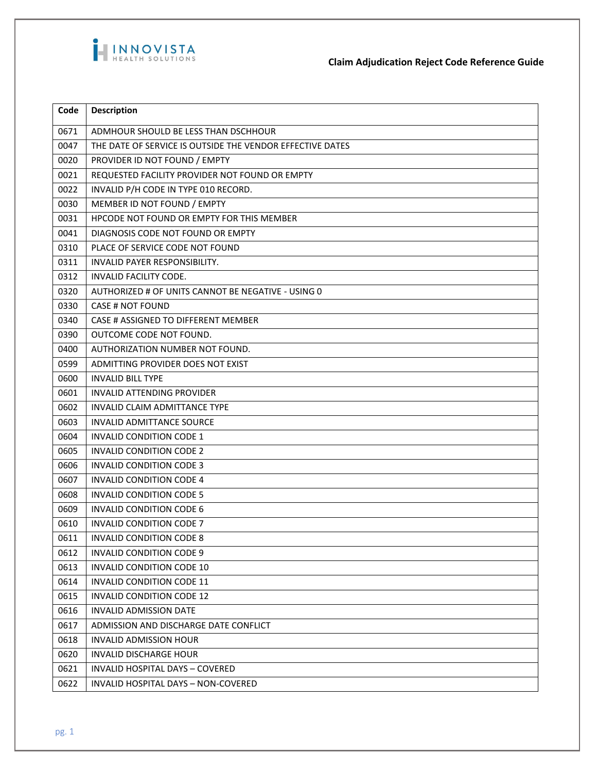

**Claim Adjudication Reject Code Reference Guide**

| Code | <b>Description</b>                                        |
|------|-----------------------------------------------------------|
| 0671 | ADMHOUR SHOULD BE LESS THAN DSCHHOUR                      |
| 0047 | THE DATE OF SERVICE IS OUTSIDE THE VENDOR EFFECTIVE DATES |
| 0020 | PROVIDER ID NOT FOUND / EMPTY                             |
| 0021 | REQUESTED FACILITY PROVIDER NOT FOUND OR EMPTY            |
| 0022 | INVALID P/H CODE IN TYPE 010 RECORD.                      |
| 0030 | MEMBER ID NOT FOUND / EMPTY                               |
| 0031 | HPCODE NOT FOUND OR EMPTY FOR THIS MEMBER                 |
| 0041 | DIAGNOSIS CODE NOT FOUND OR EMPTY                         |
| 0310 | PLACE OF SERVICE CODE NOT FOUND                           |
| 0311 | INVALID PAYER RESPONSIBILITY.                             |
| 0312 | INVALID FACILITY CODE.                                    |
| 0320 | AUTHORIZED # OF UNITS CANNOT BE NEGATIVE - USING 0        |
| 0330 | CASE # NOT FOUND                                          |
| 0340 | CASE # ASSIGNED TO DIFFERENT MEMBER                       |
| 0390 | <b>OUTCOME CODE NOT FOUND.</b>                            |
| 0400 | AUTHORIZATION NUMBER NOT FOUND.                           |
| 0599 | ADMITTING PROVIDER DOES NOT EXIST                         |
| 0600 | <b>INVALID BILL TYPE</b>                                  |
| 0601 | INVALID ATTENDING PROVIDER                                |
| 0602 | <b>INVALID CLAIM ADMITTANCE TYPE</b>                      |
| 0603 | <b>INVALID ADMITTANCE SOURCE</b>                          |
| 0604 | INVALID CONDITION CODE 1                                  |
| 0605 | <b>INVALID CONDITION CODE 2</b>                           |
| 0606 | <b>INVALID CONDITION CODE 3</b>                           |
| 0607 | <b>INVALID CONDITION CODE 4</b>                           |
| 0608 | <b>INVALID CONDITION CODE 5</b>                           |
| 0609 | <b>INVALID CONDITION CODE 6</b>                           |
| 0610 | INVALID CONDITION CODE 7                                  |
| 0611 | <b>INVALID CONDITION CODE 8</b>                           |
| 0612 | <b>INVALID CONDITION CODE 9</b>                           |
| 0613 | INVALID CONDITION CODE 10                                 |
| 0614 | INVALID CONDITION CODE 11                                 |
| 0615 | INVALID CONDITION CODE 12                                 |
| 0616 | <b>INVALID ADMISSION DATE</b>                             |
| 0617 | ADMISSION AND DISCHARGE DATE CONFLICT                     |
| 0618 | <b>INVALID ADMISSION HOUR</b>                             |
| 0620 | <b>INVALID DISCHARGE HOUR</b>                             |
| 0621 | <b>INVALID HOSPITAL DAYS - COVERED</b>                    |
| 0622 | INVALID HOSPITAL DAYS - NON-COVERED                       |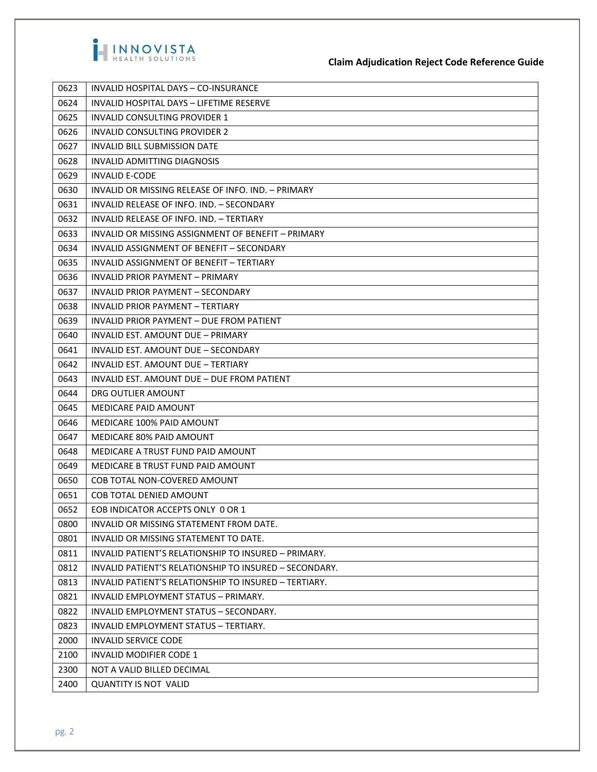

| 0623 | INVALID HOSPITAL DAYS - CO-INSURANCE                   |
|------|--------------------------------------------------------|
| 0624 | INVALID HOSPITAL DAYS - LIFETIME RESERVE               |
| 0625 | INVALID CONSULTING PROVIDER 1                          |
| 0626 | <b>INVALID CONSULTING PROVIDER 2</b>                   |
| 0627 | <b>INVALID BILL SUBMISSION DATE</b>                    |
| 0628 | <b>INVALID ADMITTING DIAGNOSIS</b>                     |
| 0629 | <b>INVALID E-CODE</b>                                  |
| 0630 | INVALID OR MISSING RELEASE OF INFO. IND. - PRIMARY     |
| 0631 | INVALID RELEASE OF INFO. IND. - SECONDARY              |
| 0632 | INVALID RELEASE OF INFO. IND. - TERTIARY               |
| 0633 | INVALID OR MISSING ASSIGNMENT OF BENEFIT - PRIMARY     |
| 0634 | INVALID ASSIGNMENT OF BENEFIT - SECONDARY              |
| 0635 | INVALID ASSIGNMENT OF BENEFIT - TERTIARY               |
| 0636 | INVALID PRIOR PAYMENT - PRIMARY                        |
| 0637 | INVALID PRIOR PAYMENT - SECONDARY                      |
| 0638 | INVALID PRIOR PAYMENT - TERTIARY                       |
| 0639 | <b>INVALID PRIOR PAYMENT - DUE FROM PATIENT</b>        |
| 0640 | INVALID EST. AMOUNT DUE - PRIMARY                      |
| 0641 | INVALID EST. AMOUNT DUE - SECONDARY                    |
| 0642 | INVALID EST. AMOUNT DUE - TERTIARY                     |
| 0643 | INVALID EST. AMOUNT DUE - DUE FROM PATIENT             |
| 0644 | DRG OUTLIER AMOUNT                                     |
| 0645 | <b>MEDICARE PAID AMOUNT</b>                            |
| 0646 | MEDICARE 100% PAID AMOUNT                              |
| 0647 | MEDICARE 80% PAID AMOUNT                               |
| 0648 | MEDICARE A TRUST FUND PAID AMOUNT                      |
| 0649 | MEDICARE B TRUST FUND PAID AMOUNT                      |
| 0650 | COB TOTAL NON-COVERED AMOUNT                           |
| 0651 | COB TOTAL DENIED AMOUNT                                |
| 0652 | EOB INDICATOR ACCEPTS ONLY 0 OR 1                      |
| 0800 | INVALID OR MISSING STATEMENT FROM DATE.                |
| 0801 | INVALID OR MISSING STATEMENT TO DATE.                  |
| 0811 | INVALID PATIENT'S RELATIONSHIP TO INSURED - PRIMARY.   |
| 0812 | INVALID PATIENT'S RELATIONSHIP TO INSURED - SECONDARY. |
| 0813 | INVALID PATIENT'S RELATIONSHIP TO INSURED - TERTIARY.  |
| 0821 | INVALID EMPLOYMENT STATUS - PRIMARY.                   |
| 0822 | INVALID EMPLOYMENT STATUS - SECONDARY.                 |
| 0823 | INVALID EMPLOYMENT STATUS - TERTIARY.                  |
| 2000 | <b>INVALID SERVICE CODE</b>                            |
| 2100 | INVALID MODIFIER CODE 1                                |
| 2300 | NOT A VALID BILLED DECIMAL                             |
| 2400 | <b>QUANTITY IS NOT VALID</b>                           |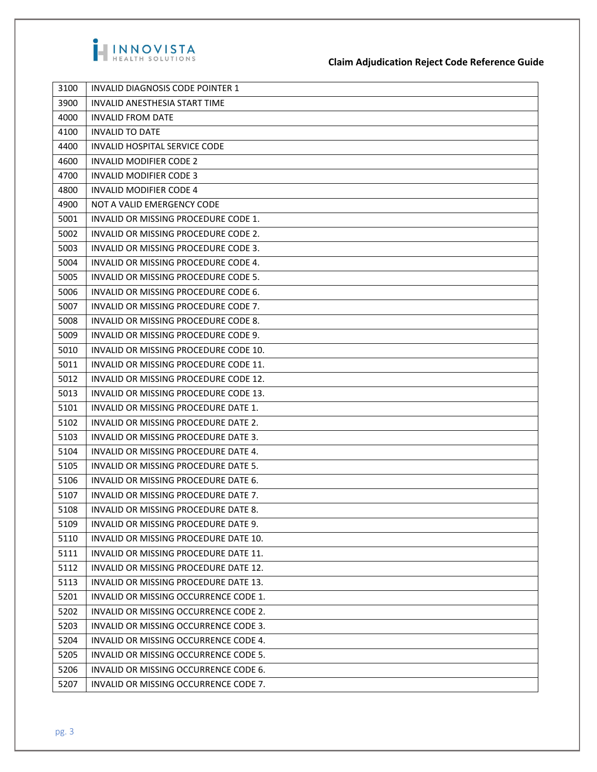

| 3100 | INVALID DIAGNOSIS CODE POINTER 1      |
|------|---------------------------------------|
| 3900 | INVALID ANESTHESIA START TIME         |
| 4000 | <b>INVALID FROM DATE</b>              |
| 4100 | <b>INVALID TO DATE</b>                |
| 4400 | <b>INVALID HOSPITAL SERVICE CODE</b>  |
| 4600 | <b>INVALID MODIFIER CODE 2</b>        |
| 4700 | INVALID MODIFIER CODE 3               |
| 4800 | INVALID MODIFIER CODE 4               |
| 4900 | NOT A VALID EMERGENCY CODE            |
| 5001 | INVALID OR MISSING PROCEDURE CODE 1.  |
| 5002 | INVALID OR MISSING PROCEDURE CODE 2.  |
| 5003 | INVALID OR MISSING PROCEDURE CODE 3.  |
| 5004 | INVALID OR MISSING PROCEDURE CODE 4.  |
| 5005 | INVALID OR MISSING PROCEDURE CODE 5.  |
| 5006 | INVALID OR MISSING PROCEDURE CODE 6.  |
| 5007 | INVALID OR MISSING PROCEDURE CODE 7.  |
| 5008 | INVALID OR MISSING PROCEDURE CODE 8.  |
| 5009 | INVALID OR MISSING PROCEDURE CODE 9.  |
| 5010 | INVALID OR MISSING PROCEDURE CODE 10. |
| 5011 | INVALID OR MISSING PROCEDURE CODE 11. |
| 5012 | INVALID OR MISSING PROCEDURE CODE 12. |
| 5013 | INVALID OR MISSING PROCEDURE CODE 13. |
| 5101 | INVALID OR MISSING PROCEDURE DATE 1.  |
| 5102 | INVALID OR MISSING PROCEDURE DATE 2.  |
| 5103 | INVALID OR MISSING PROCEDURE DATE 3.  |
| 5104 | INVALID OR MISSING PROCEDURE DATE 4.  |
| 5105 | INVALID OR MISSING PROCEDURE DATE 5.  |
| 5106 | INVALID OR MISSING PROCEDURE DATE 6.  |
| 5107 | INVALID OR MISSING PROCEDURE DATE 7.  |
| 5108 | INVALID OR MISSING PROCEDURE DATE 8.  |
| 5109 | INVALID OR MISSING PROCEDURE DATE 9.  |
| 5110 | INVALID OR MISSING PROCEDURE DATE 10. |
| 5111 | INVALID OR MISSING PROCEDURE DATE 11. |
| 5112 | INVALID OR MISSING PROCEDURE DATE 12. |
| 5113 | INVALID OR MISSING PROCEDURE DATE 13. |
| 5201 | INVALID OR MISSING OCCURRENCE CODE 1. |
| 5202 | INVALID OR MISSING OCCURRENCE CODE 2. |
| 5203 | INVALID OR MISSING OCCURRENCE CODE 3. |
| 5204 | INVALID OR MISSING OCCURRENCE CODE 4. |
| 5205 | INVALID OR MISSING OCCURRENCE CODE 5. |
| 5206 | INVALID OR MISSING OCCURRENCE CODE 6. |
| 5207 | INVALID OR MISSING OCCURRENCE CODE 7. |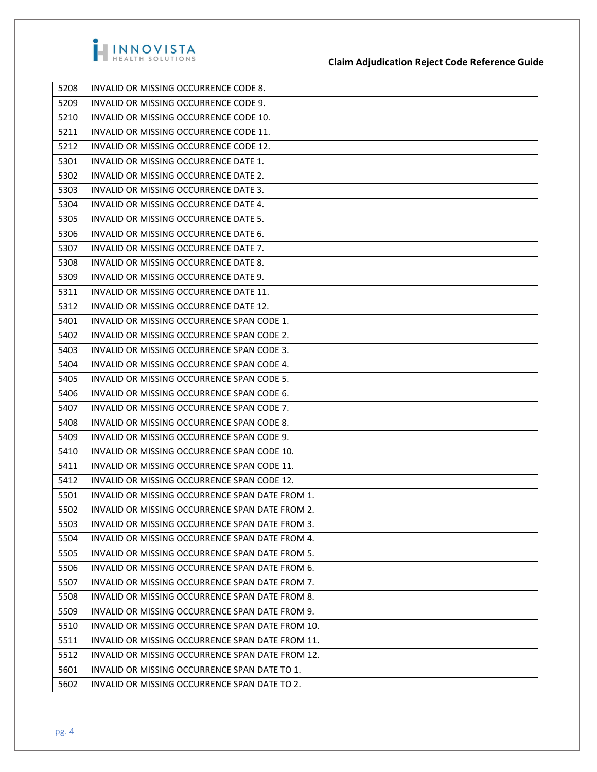

| 5208 | INVALID OR MISSING OCCURRENCE CODE 8.            |
|------|--------------------------------------------------|
| 5209 | INVALID OR MISSING OCCURRENCE CODE 9.            |
| 5210 | INVALID OR MISSING OCCURRENCE CODE 10.           |
| 5211 | INVALID OR MISSING OCCURRENCE CODE 11.           |
| 5212 | INVALID OR MISSING OCCURRENCE CODE 12.           |
| 5301 | INVALID OR MISSING OCCURRENCE DATE 1.            |
| 5302 | INVALID OR MISSING OCCURRENCE DATE 2.            |
| 5303 | INVALID OR MISSING OCCURRENCE DATE 3.            |
| 5304 | INVALID OR MISSING OCCURRENCE DATE 4.            |
| 5305 | INVALID OR MISSING OCCURRENCE DATE 5.            |
| 5306 | INVALID OR MISSING OCCURRENCE DATE 6.            |
| 5307 | INVALID OR MISSING OCCURRENCE DATE 7.            |
| 5308 | INVALID OR MISSING OCCURRENCE DATE 8.            |
| 5309 | INVALID OR MISSING OCCURRENCE DATE 9.            |
| 5311 | INVALID OR MISSING OCCURRENCE DATE 11.           |
| 5312 | INVALID OR MISSING OCCURRENCE DATE 12.           |
| 5401 | INVALID OR MISSING OCCURRENCE SPAN CODE 1.       |
| 5402 | INVALID OR MISSING OCCURRENCE SPAN CODE 2.       |
| 5403 | INVALID OR MISSING OCCURRENCE SPAN CODE 3.       |
| 5404 | INVALID OR MISSING OCCURRENCE SPAN CODE 4.       |
| 5405 | INVALID OR MISSING OCCURRENCE SPAN CODE 5.       |
| 5406 | INVALID OR MISSING OCCURRENCE SPAN CODE 6.       |
| 5407 | INVALID OR MISSING OCCURRENCE SPAN CODE 7.       |
| 5408 | INVALID OR MISSING OCCURRENCE SPAN CODE 8.       |
| 5409 | INVALID OR MISSING OCCURRENCE SPAN CODE 9.       |
| 5410 | INVALID OR MISSING OCCURRENCE SPAN CODE 10.      |
| 5411 | INVALID OR MISSING OCCURRENCE SPAN CODE 11.      |
| 5412 | INVALID OR MISSING OCCURRENCE SPAN CODE 12.      |
| 5501 | INVALID OR MISSING OCCURRENCE SPAN DATE FROM 1.  |
| 5502 | INVALID OR MISSING OCCURRENCE SPAN DATE FROM 2.  |
| 5503 | INVALID OR MISSING OCCURRENCE SPAN DATE FROM 3.  |
| 5504 | INVALID OR MISSING OCCURRENCE SPAN DATE FROM 4.  |
| 5505 | INVALID OR MISSING OCCURRENCE SPAN DATE FROM 5.  |
| 5506 | INVALID OR MISSING OCCURRENCE SPAN DATE FROM 6.  |
| 5507 | INVALID OR MISSING OCCURRENCE SPAN DATE FROM 7.  |
| 5508 | INVALID OR MISSING OCCURRENCE SPAN DATE FROM 8.  |
| 5509 | INVALID OR MISSING OCCURRENCE SPAN DATE FROM 9.  |
| 5510 | INVALID OR MISSING OCCURRENCE SPAN DATE FROM 10. |
| 5511 | INVALID OR MISSING OCCURRENCE SPAN DATE FROM 11. |
| 5512 | INVALID OR MISSING OCCURRENCE SPAN DATE FROM 12. |
| 5601 | INVALID OR MISSING OCCURRENCE SPAN DATE TO 1.    |
| 5602 | INVALID OR MISSING OCCURRENCE SPAN DATE TO 2.    |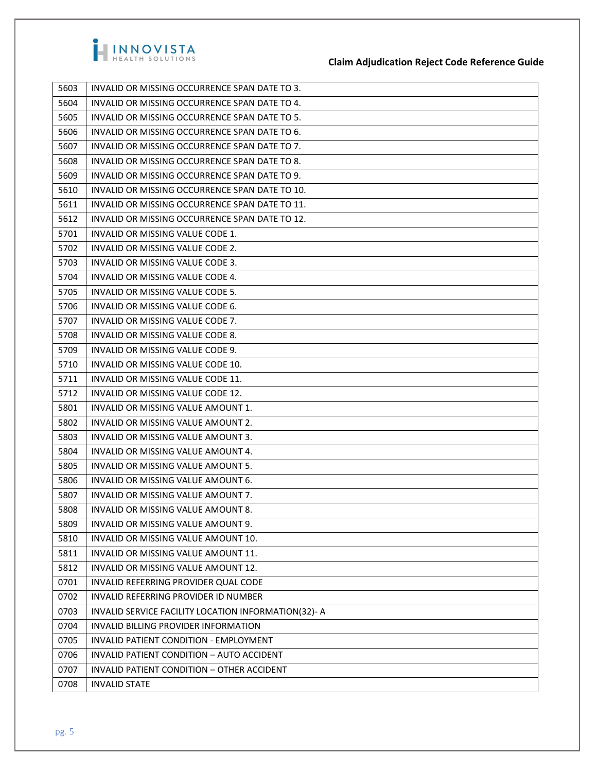

| 5603 | INVALID OR MISSING OCCURRENCE SPAN DATE TO 3.        |
|------|------------------------------------------------------|
| 5604 | INVALID OR MISSING OCCURRENCE SPAN DATE TO 4.        |
| 5605 | INVALID OR MISSING OCCURRENCE SPAN DATE TO 5.        |
| 5606 | INVALID OR MISSING OCCURRENCE SPAN DATE TO 6.        |
| 5607 | INVALID OR MISSING OCCURRENCE SPAN DATE TO 7.        |
| 5608 | INVALID OR MISSING OCCURRENCE SPAN DATE TO 8.        |
| 5609 | INVALID OR MISSING OCCURRENCE SPAN DATE TO 9.        |
| 5610 | INVALID OR MISSING OCCURRENCE SPAN DATE TO 10.       |
| 5611 | INVALID OR MISSING OCCURRENCE SPAN DATE TO 11.       |
| 5612 | INVALID OR MISSING OCCURRENCE SPAN DATE TO 12.       |
| 5701 | INVALID OR MISSING VALUE CODE 1.                     |
| 5702 | INVALID OR MISSING VALUE CODE 2.                     |
| 5703 | INVALID OR MISSING VALUE CODE 3.                     |
| 5704 | INVALID OR MISSING VALUE CODE 4.                     |
| 5705 | INVALID OR MISSING VALUE CODE 5.                     |
| 5706 | INVALID OR MISSING VALUE CODE 6.                     |
| 5707 | INVALID OR MISSING VALUE CODE 7.                     |
| 5708 | INVALID OR MISSING VALUE CODE 8.                     |
| 5709 | INVALID OR MISSING VALUE CODE 9.                     |
| 5710 | INVALID OR MISSING VALUE CODE 10.                    |
| 5711 | INVALID OR MISSING VALUE CODE 11.                    |
| 5712 | INVALID OR MISSING VALUE CODE 12.                    |
| 5801 | INVALID OR MISSING VALUE AMOUNT 1.                   |
| 5802 | INVALID OR MISSING VALUE AMOUNT 2.                   |
| 5803 | INVALID OR MISSING VALUE AMOUNT 3.                   |
| 5804 | INVALID OR MISSING VALUE AMOUNT 4.                   |
| 5805 | INVALID OR MISSING VALUE AMOUNT 5.                   |
| 5806 | INVALID OR MISSING VALUE AMOUNT 6.                   |
| 5807 | INVALID OR MISSING VALUE AMOUNT 7.                   |
| 5808 | INVALID OR MISSING VALUE AMOUNT 8.                   |
| 5809 | INVALID OR MISSING VALUE AMOUNT 9.                   |
| 5810 | INVALID OR MISSING VALUE AMOUNT 10.                  |
| 5811 | INVALID OR MISSING VALUE AMOUNT 11.                  |
| 5812 | INVALID OR MISSING VALUE AMOUNT 12.                  |
| 0701 | INVALID REFERRING PROVIDER QUAL CODE                 |
| 0702 | INVALID REFERRING PROVIDER ID NUMBER                 |
| 0703 | INVALID SERVICE FACILITY LOCATION INFORMATION(32)- A |
| 0704 | INVALID BILLING PROVIDER INFORMATION                 |
| 0705 | INVALID PATIENT CONDITION - EMPLOYMENT               |
| 0706 | INVALID PATIENT CONDITION - AUTO ACCIDENT            |
| 0707 | INVALID PATIENT CONDITION - OTHER ACCIDENT           |
| 0708 | <b>INVALID STATE</b>                                 |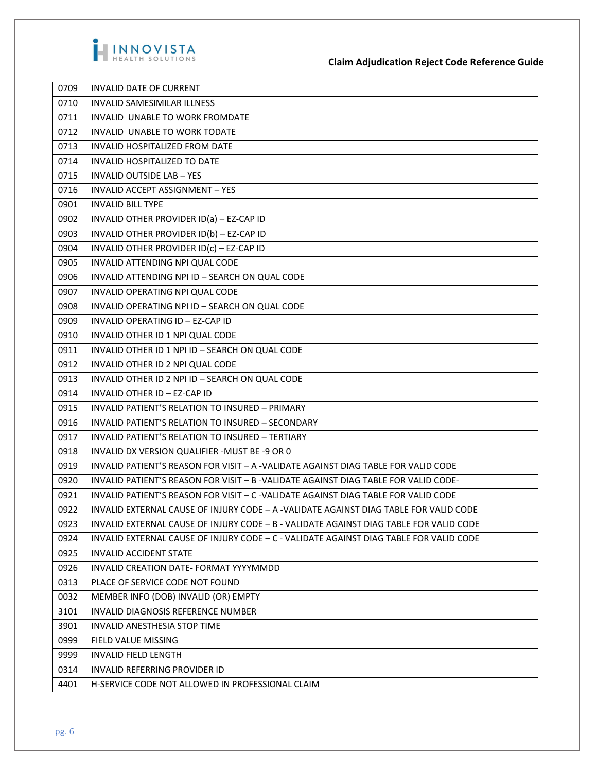

| 0709 | INVALID DATE OF CURRENT                                                                |
|------|----------------------------------------------------------------------------------------|
| 0710 | <b>INVALID SAMESIMILAR ILLNESS</b>                                                     |
| 0711 | INVALID UNABLE TO WORK FROMDATE                                                        |
| 0712 | INVALID UNABLE TO WORK TODATE                                                          |
| 0713 | INVALID HOSPITALIZED FROM DATE                                                         |
| 0714 | INVALID HOSPITALIZED TO DATE                                                           |
| 0715 | <b>INVALID OUTSIDE LAB - YES</b>                                                       |
| 0716 | INVALID ACCEPT ASSIGNMENT - YES                                                        |
| 0901 | <b>INVALID BILL TYPE</b>                                                               |
| 0902 | INVALID OTHER PROVIDER ID(a) - EZ-CAP ID                                               |
| 0903 | INVALID OTHER PROVIDER ID(b) - EZ-CAP ID                                               |
| 0904 | INVALID OTHER PROVIDER ID(c) - EZ-CAP ID                                               |
| 0905 | INVALID ATTENDING NPI QUAL CODE                                                        |
| 0906 | INVALID ATTENDING NPI ID - SEARCH ON QUAL CODE                                         |
| 0907 | INVALID OPERATING NPI QUAL CODE                                                        |
| 0908 | INVALID OPERATING NPI ID - SEARCH ON QUAL CODE                                         |
| 0909 | INVALID OPERATING ID - EZ-CAP ID                                                       |
| 0910 | INVALID OTHER ID 1 NPI QUAL CODE                                                       |
| 0911 | INVALID OTHER ID 1 NPI ID - SEARCH ON QUAL CODE                                        |
| 0912 | INVALID OTHER ID 2 NPI QUAL CODE                                                       |
| 0913 | INVALID OTHER ID 2 NPI ID - SEARCH ON QUAL CODE                                        |
| 0914 | INVALID OTHER ID - EZ-CAP ID                                                           |
| 0915 | INVALID PATIENT'S RELATION TO INSURED - PRIMARY                                        |
| 0916 | INVALID PATIENT'S RELATION TO INSURED - SECONDARY                                      |
| 0917 | INVALID PATIENT'S RELATION TO INSURED - TERTIARY                                       |
| 0918 | INVALID DX VERSION QUALIFIER -MUST BE -9 OR 0                                          |
| 0919 | INVALID PATIENT'S REASON FOR VISIT - A -VALIDATE AGAINST DIAG TABLE FOR VALID CODE     |
| 0920 | INVALID PATIENT'S REASON FOR VISIT – B -VALIDATE AGAINST DIAG TABLE FOR VALID CODE-    |
| 0921 | INVALID PATIENT'S REASON FOR VISIT - C -VALIDATE AGAINST DIAG TABLE FOR VALID CODE     |
| 0922 | INVALID EXTERNAL CAUSE OF INJURY CODE - A -VALIDATE AGAINST DIAG TABLE FOR VALID CODE  |
| 0923 | INVALID EXTERNAL CAUSE OF INJURY CODE - B - VALIDATE AGAINST DIAG TABLE FOR VALID CODE |
| 0924 | INVALID EXTERNAL CAUSE OF INJURY CODE - C - VALIDATE AGAINST DIAG TABLE FOR VALID CODE |
| 0925 | <b>INVALID ACCIDENT STATE</b>                                                          |
| 0926 | INVALID CREATION DATE- FORMAT YYYYMMDD                                                 |
| 0313 | PLACE OF SERVICE CODE NOT FOUND                                                        |
| 0032 | MEMBER INFO (DOB) INVALID (OR) EMPTY                                                   |
| 3101 | INVALID DIAGNOSIS REFERENCE NUMBER                                                     |
| 3901 | INVALID ANESTHESIA STOP TIME                                                           |
| 0999 | FIELD VALUE MISSING                                                                    |
| 9999 | <b>INVALID FIELD LENGTH</b>                                                            |
| 0314 | INVALID REFERRING PROVIDER ID                                                          |
| 4401 | H-SERVICE CODE NOT ALLOWED IN PROFESSIONAL CLAIM                                       |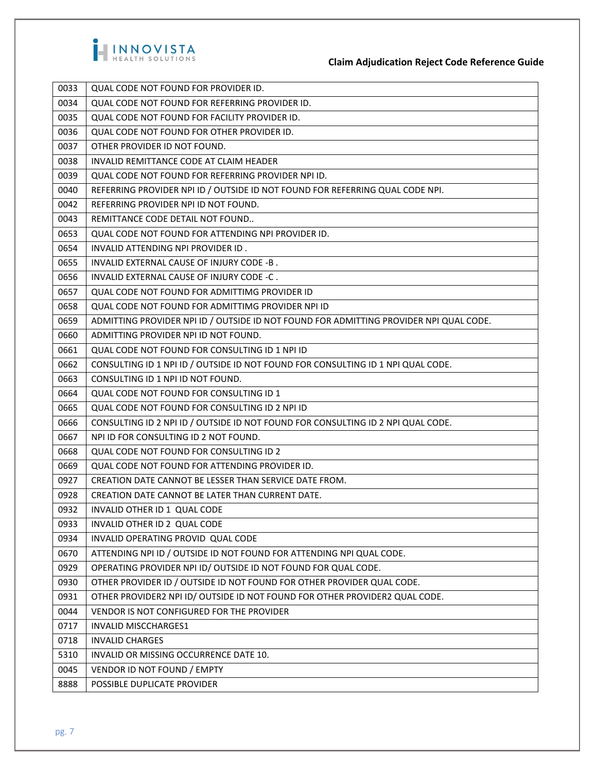

| 0033 | QUAL CODE NOT FOUND FOR PROVIDER ID.                                                   |
|------|----------------------------------------------------------------------------------------|
| 0034 | QUAL CODE NOT FOUND FOR REFERRING PROVIDER ID.                                         |
| 0035 | QUAL CODE NOT FOUND FOR FACILITY PROVIDER ID.                                          |
| 0036 | QUAL CODE NOT FOUND FOR OTHER PROVIDER ID.                                             |
| 0037 | OTHER PROVIDER ID NOT FOUND.                                                           |
| 0038 | INVALID REMITTANCE CODE AT CLAIM HEADER                                                |
| 0039 | QUAL CODE NOT FOUND FOR REFERRING PROVIDER NPI ID.                                     |
| 0040 | REFERRING PROVIDER NPI ID / OUTSIDE ID NOT FOUND FOR REFERRING QUAL CODE NPI.          |
| 0042 | REFERRING PROVIDER NPI ID NOT FOUND.                                                   |
| 0043 | REMITTANCE CODE DETAIL NOT FOUND                                                       |
| 0653 | QUAL CODE NOT FOUND FOR ATTENDING NPI PROVIDER ID.                                     |
| 0654 | INVALID ATTENDING NPI PROVIDER ID.                                                     |
| 0655 | INVALID EXTERNAL CAUSE OF INJURY CODE -B.                                              |
| 0656 | INVALID EXTERNAL CAUSE OF INJURY CODE -C.                                              |
| 0657 | QUAL CODE NOT FOUND FOR ADMITTIMG PROVIDER ID                                          |
| 0658 | QUAL CODE NOT FOUND FOR ADMITTIMG PROVIDER NPI ID                                      |
| 0659 | ADMITTING PROVIDER NPI ID / OUTSIDE ID NOT FOUND FOR ADMITTING PROVIDER NPI QUAL CODE. |
| 0660 | ADMITTING PROVIDER NPI ID NOT FOUND.                                                   |
| 0661 | QUAL CODE NOT FOUND FOR CONSULTING ID 1 NPI ID                                         |
| 0662 | CONSULTING ID 1 NPI ID / OUTSIDE ID NOT FOUND FOR CONSULTING ID 1 NPI QUAL CODE.       |
| 0663 | CONSULTING ID 1 NPI ID NOT FOUND.                                                      |
| 0664 | QUAL CODE NOT FOUND FOR CONSULTING ID 1                                                |
| 0665 | QUAL CODE NOT FOUND FOR CONSULTING ID 2 NPI ID                                         |
| 0666 | CONSULTING ID 2 NPI ID / OUTSIDE ID NOT FOUND FOR CONSULTING ID 2 NPI QUAL CODE.       |
| 0667 | NPI ID FOR CONSULTING ID 2 NOT FOUND.                                                  |
| 0668 | QUAL CODE NOT FOUND FOR CONSULTING ID 2                                                |
| 0669 | QUAL CODE NOT FOUND FOR ATTENDING PROVIDER ID.                                         |
| 0927 | CREATION DATE CANNOT BE LESSER THAN SERVICE DATE FROM.                                 |
| 0928 | CREATION DATE CANNOT BE LATER THAN CURRENT DATE.                                       |
| 0932 | INVALID OTHER ID 1 QUAL CODE                                                           |
| 0933 | INVALID OTHER ID 2 QUAL CODE                                                           |
| 0934 | INVALID OPERATING PROVID QUAL CODE                                                     |
| 0670 | ATTENDING NPI ID / OUTSIDE ID NOT FOUND FOR ATTENDING NPI QUAL CODE.                   |
| 0929 | OPERATING PROVIDER NPI ID/OUTSIDE ID NOT FOUND FOR QUAL CODE.                          |
| 0930 | OTHER PROVIDER ID / OUTSIDE ID NOT FOUND FOR OTHER PROVIDER QUAL CODE.                 |
| 0931 | OTHER PROVIDER2 NPI ID/OUTSIDE ID NOT FOUND FOR OTHER PROVIDER2 QUAL CODE.             |
| 0044 | VENDOR IS NOT CONFIGURED FOR THE PROVIDER                                              |
| 0717 | <b>INVALID MISCCHARGES1</b>                                                            |
| 0718 | <b>INVALID CHARGES</b>                                                                 |
| 5310 | INVALID OR MISSING OCCURRENCE DATE 10.                                                 |
| 0045 | VENDOR ID NOT FOUND / EMPTY                                                            |
| 8888 | POSSIBLE DUPLICATE PROVIDER                                                            |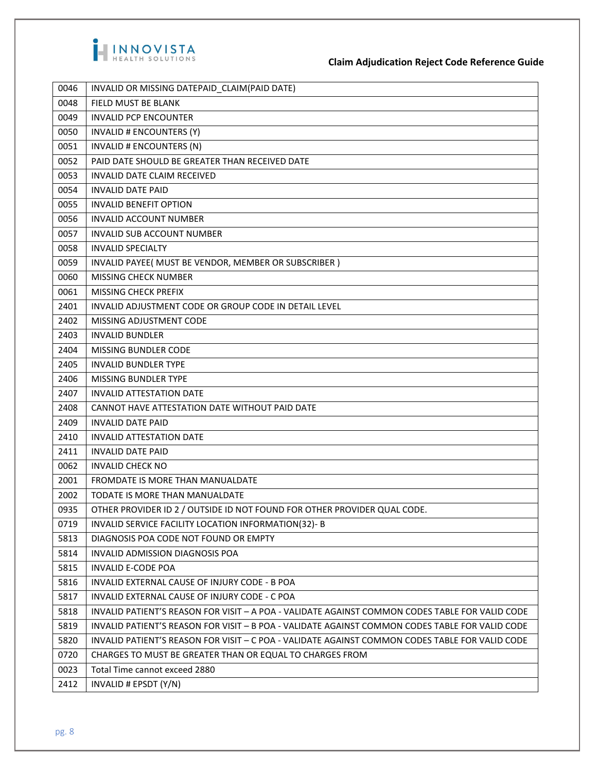

**Claim Adjudication Reject Code Reference Guide**

| 0048<br>FIELD MUST BE BLANK<br>0049<br><b>INVALID PCP ENCOUNTER</b><br>0050<br>INVALID # ENCOUNTERS (Y)<br>0051<br>INVALID # ENCOUNTERS (N)<br>PAID DATE SHOULD BE GREATER THAN RECEIVED DATE<br>0052<br>0053<br><b>INVALID DATE CLAIM RECEIVED</b><br>0054<br><b>INVALID DATE PAID</b><br>0055<br><b>INVALID BENEFIT OPTION</b><br>0056<br><b>INVALID ACCOUNT NUMBER</b><br>0057<br><b>INVALID SUB ACCOUNT NUMBER</b><br>0058<br><b>INVALID SPECIALTY</b><br>0059<br>INVALID PAYEE( MUST BE VENDOR, MEMBER OR SUBSCRIBER)<br>0060<br>MISSING CHECK NUMBER<br>0061<br>MISSING CHECK PREFIX<br>2401<br>INVALID ADJUSTMENT CODE OR GROUP CODE IN DETAIL LEVEL<br>2402<br>MISSING ADJUSTMENT CODE<br>2403<br><b>INVALID BUNDLER</b><br>2404<br>MISSING BUNDLER CODE<br>2405<br><b>INVALID BUNDLER TYPE</b><br>2406<br><b>MISSING BUNDLER TYPE</b><br>2407<br><b>INVALID ATTESTATION DATE</b><br>CANNOT HAVE ATTESTATION DATE WITHOUT PAID DATE<br>2408<br>2409<br><b>INVALID DATE PAID</b><br>2410<br><b>INVALID ATTESTATION DATE</b><br>2411<br><b>INVALID DATE PAID</b><br>0062<br><b>INVALID CHECK NO</b><br>2001<br><b>FROMDATE IS MORE THAN MANUALDATE</b><br>2002<br>TODATE IS MORE THAN MANUALDATE<br>0935<br>OTHER PROVIDER ID 2 / OUTSIDE ID NOT FOUND FOR OTHER PROVIDER QUAL CODE.<br>0719<br>INVALID SERVICE FACILITY LOCATION INFORMATION(32)- B<br>DIAGNOSIS POA CODE NOT FOUND OR EMPTY<br>5813<br>5814<br>INVALID ADMISSION DIAGNOSIS POA<br>5815<br><b>INVALID E-CODE POA</b><br>5816<br>INVALID EXTERNAL CAUSE OF INJURY CODE - B POA<br>5817<br>INVALID EXTERNAL CAUSE OF INJURY CODE - C POA<br>5818<br>INVALID PATIENT'S REASON FOR VISIT - A POA - VALIDATE AGAINST COMMON CODES TABLE FOR VALID CODE<br>5819<br>INVALID PATIENT'S REASON FOR VISIT - B POA - VALIDATE AGAINST COMMON CODES TABLE FOR VALID CODE<br>5820<br>INVALID PATIENT'S REASON FOR VISIT - C POA - VALIDATE AGAINST COMMON CODES TABLE FOR VALID CODE<br>0720<br>CHARGES TO MUST BE GREATER THAN OR EQUAL TO CHARGES FROM<br>0023<br>Total Time cannot exceed 2880<br>2412<br>INVALID # EPSDT (Y/N) | 0046 | INVALID OR MISSING DATEPAID_CLAIM(PAID DATE) |
|----------------------------------------------------------------------------------------------------------------------------------------------------------------------------------------------------------------------------------------------------------------------------------------------------------------------------------------------------------------------------------------------------------------------------------------------------------------------------------------------------------------------------------------------------------------------------------------------------------------------------------------------------------------------------------------------------------------------------------------------------------------------------------------------------------------------------------------------------------------------------------------------------------------------------------------------------------------------------------------------------------------------------------------------------------------------------------------------------------------------------------------------------------------------------------------------------------------------------------------------------------------------------------------------------------------------------------------------------------------------------------------------------------------------------------------------------------------------------------------------------------------------------------------------------------------------------------------------------------------------------------------------------------------------------------------------------------------------------------------------------------------------------------------------------------------------------------------------------------------------------------------------------------------------------------------------------------------------------------------------------------------------------------------------------------------------------------------------|------|----------------------------------------------|
|                                                                                                                                                                                                                                                                                                                                                                                                                                                                                                                                                                                                                                                                                                                                                                                                                                                                                                                                                                                                                                                                                                                                                                                                                                                                                                                                                                                                                                                                                                                                                                                                                                                                                                                                                                                                                                                                                                                                                                                                                                                                                              |      |                                              |
|                                                                                                                                                                                                                                                                                                                                                                                                                                                                                                                                                                                                                                                                                                                                                                                                                                                                                                                                                                                                                                                                                                                                                                                                                                                                                                                                                                                                                                                                                                                                                                                                                                                                                                                                                                                                                                                                                                                                                                                                                                                                                              |      |                                              |
|                                                                                                                                                                                                                                                                                                                                                                                                                                                                                                                                                                                                                                                                                                                                                                                                                                                                                                                                                                                                                                                                                                                                                                                                                                                                                                                                                                                                                                                                                                                                                                                                                                                                                                                                                                                                                                                                                                                                                                                                                                                                                              |      |                                              |
|                                                                                                                                                                                                                                                                                                                                                                                                                                                                                                                                                                                                                                                                                                                                                                                                                                                                                                                                                                                                                                                                                                                                                                                                                                                                                                                                                                                                                                                                                                                                                                                                                                                                                                                                                                                                                                                                                                                                                                                                                                                                                              |      |                                              |
|                                                                                                                                                                                                                                                                                                                                                                                                                                                                                                                                                                                                                                                                                                                                                                                                                                                                                                                                                                                                                                                                                                                                                                                                                                                                                                                                                                                                                                                                                                                                                                                                                                                                                                                                                                                                                                                                                                                                                                                                                                                                                              |      |                                              |
|                                                                                                                                                                                                                                                                                                                                                                                                                                                                                                                                                                                                                                                                                                                                                                                                                                                                                                                                                                                                                                                                                                                                                                                                                                                                                                                                                                                                                                                                                                                                                                                                                                                                                                                                                                                                                                                                                                                                                                                                                                                                                              |      |                                              |
|                                                                                                                                                                                                                                                                                                                                                                                                                                                                                                                                                                                                                                                                                                                                                                                                                                                                                                                                                                                                                                                                                                                                                                                                                                                                                                                                                                                                                                                                                                                                                                                                                                                                                                                                                                                                                                                                                                                                                                                                                                                                                              |      |                                              |
|                                                                                                                                                                                                                                                                                                                                                                                                                                                                                                                                                                                                                                                                                                                                                                                                                                                                                                                                                                                                                                                                                                                                                                                                                                                                                                                                                                                                                                                                                                                                                                                                                                                                                                                                                                                                                                                                                                                                                                                                                                                                                              |      |                                              |
|                                                                                                                                                                                                                                                                                                                                                                                                                                                                                                                                                                                                                                                                                                                                                                                                                                                                                                                                                                                                                                                                                                                                                                                                                                                                                                                                                                                                                                                                                                                                                                                                                                                                                                                                                                                                                                                                                                                                                                                                                                                                                              |      |                                              |
|                                                                                                                                                                                                                                                                                                                                                                                                                                                                                                                                                                                                                                                                                                                                                                                                                                                                                                                                                                                                                                                                                                                                                                                                                                                                                                                                                                                                                                                                                                                                                                                                                                                                                                                                                                                                                                                                                                                                                                                                                                                                                              |      |                                              |
|                                                                                                                                                                                                                                                                                                                                                                                                                                                                                                                                                                                                                                                                                                                                                                                                                                                                                                                                                                                                                                                                                                                                                                                                                                                                                                                                                                                                                                                                                                                                                                                                                                                                                                                                                                                                                                                                                                                                                                                                                                                                                              |      |                                              |
|                                                                                                                                                                                                                                                                                                                                                                                                                                                                                                                                                                                                                                                                                                                                                                                                                                                                                                                                                                                                                                                                                                                                                                                                                                                                                                                                                                                                                                                                                                                                                                                                                                                                                                                                                                                                                                                                                                                                                                                                                                                                                              |      |                                              |
|                                                                                                                                                                                                                                                                                                                                                                                                                                                                                                                                                                                                                                                                                                                                                                                                                                                                                                                                                                                                                                                                                                                                                                                                                                                                                                                                                                                                                                                                                                                                                                                                                                                                                                                                                                                                                                                                                                                                                                                                                                                                                              |      |                                              |
|                                                                                                                                                                                                                                                                                                                                                                                                                                                                                                                                                                                                                                                                                                                                                                                                                                                                                                                                                                                                                                                                                                                                                                                                                                                                                                                                                                                                                                                                                                                                                                                                                                                                                                                                                                                                                                                                                                                                                                                                                                                                                              |      |                                              |
|                                                                                                                                                                                                                                                                                                                                                                                                                                                                                                                                                                                                                                                                                                                                                                                                                                                                                                                                                                                                                                                                                                                                                                                                                                                                                                                                                                                                                                                                                                                                                                                                                                                                                                                                                                                                                                                                                                                                                                                                                                                                                              |      |                                              |
|                                                                                                                                                                                                                                                                                                                                                                                                                                                                                                                                                                                                                                                                                                                                                                                                                                                                                                                                                                                                                                                                                                                                                                                                                                                                                                                                                                                                                                                                                                                                                                                                                                                                                                                                                                                                                                                                                                                                                                                                                                                                                              |      |                                              |
|                                                                                                                                                                                                                                                                                                                                                                                                                                                                                                                                                                                                                                                                                                                                                                                                                                                                                                                                                                                                                                                                                                                                                                                                                                                                                                                                                                                                                                                                                                                                                                                                                                                                                                                                                                                                                                                                                                                                                                                                                                                                                              |      |                                              |
|                                                                                                                                                                                                                                                                                                                                                                                                                                                                                                                                                                                                                                                                                                                                                                                                                                                                                                                                                                                                                                                                                                                                                                                                                                                                                                                                                                                                                                                                                                                                                                                                                                                                                                                                                                                                                                                                                                                                                                                                                                                                                              |      |                                              |
|                                                                                                                                                                                                                                                                                                                                                                                                                                                                                                                                                                                                                                                                                                                                                                                                                                                                                                                                                                                                                                                                                                                                                                                                                                                                                                                                                                                                                                                                                                                                                                                                                                                                                                                                                                                                                                                                                                                                                                                                                                                                                              |      |                                              |
|                                                                                                                                                                                                                                                                                                                                                                                                                                                                                                                                                                                                                                                                                                                                                                                                                                                                                                                                                                                                                                                                                                                                                                                                                                                                                                                                                                                                                                                                                                                                                                                                                                                                                                                                                                                                                                                                                                                                                                                                                                                                                              |      |                                              |
|                                                                                                                                                                                                                                                                                                                                                                                                                                                                                                                                                                                                                                                                                                                                                                                                                                                                                                                                                                                                                                                                                                                                                                                                                                                                                                                                                                                                                                                                                                                                                                                                                                                                                                                                                                                                                                                                                                                                                                                                                                                                                              |      |                                              |
|                                                                                                                                                                                                                                                                                                                                                                                                                                                                                                                                                                                                                                                                                                                                                                                                                                                                                                                                                                                                                                                                                                                                                                                                                                                                                                                                                                                                                                                                                                                                                                                                                                                                                                                                                                                                                                                                                                                                                                                                                                                                                              |      |                                              |
|                                                                                                                                                                                                                                                                                                                                                                                                                                                                                                                                                                                                                                                                                                                                                                                                                                                                                                                                                                                                                                                                                                                                                                                                                                                                                                                                                                                                                                                                                                                                                                                                                                                                                                                                                                                                                                                                                                                                                                                                                                                                                              |      |                                              |
|                                                                                                                                                                                                                                                                                                                                                                                                                                                                                                                                                                                                                                                                                                                                                                                                                                                                                                                                                                                                                                                                                                                                                                                                                                                                                                                                                                                                                                                                                                                                                                                                                                                                                                                                                                                                                                                                                                                                                                                                                                                                                              |      |                                              |
|                                                                                                                                                                                                                                                                                                                                                                                                                                                                                                                                                                                                                                                                                                                                                                                                                                                                                                                                                                                                                                                                                                                                                                                                                                                                                                                                                                                                                                                                                                                                                                                                                                                                                                                                                                                                                                                                                                                                                                                                                                                                                              |      |                                              |
|                                                                                                                                                                                                                                                                                                                                                                                                                                                                                                                                                                                                                                                                                                                                                                                                                                                                                                                                                                                                                                                                                                                                                                                                                                                                                                                                                                                                                                                                                                                                                                                                                                                                                                                                                                                                                                                                                                                                                                                                                                                                                              |      |                                              |
|                                                                                                                                                                                                                                                                                                                                                                                                                                                                                                                                                                                                                                                                                                                                                                                                                                                                                                                                                                                                                                                                                                                                                                                                                                                                                                                                                                                                                                                                                                                                                                                                                                                                                                                                                                                                                                                                                                                                                                                                                                                                                              |      |                                              |
|                                                                                                                                                                                                                                                                                                                                                                                                                                                                                                                                                                                                                                                                                                                                                                                                                                                                                                                                                                                                                                                                                                                                                                                                                                                                                                                                                                                                                                                                                                                                                                                                                                                                                                                                                                                                                                                                                                                                                                                                                                                                                              |      |                                              |
|                                                                                                                                                                                                                                                                                                                                                                                                                                                                                                                                                                                                                                                                                                                                                                                                                                                                                                                                                                                                                                                                                                                                                                                                                                                                                                                                                                                                                                                                                                                                                                                                                                                                                                                                                                                                                                                                                                                                                                                                                                                                                              |      |                                              |
|                                                                                                                                                                                                                                                                                                                                                                                                                                                                                                                                                                                                                                                                                                                                                                                                                                                                                                                                                                                                                                                                                                                                                                                                                                                                                                                                                                                                                                                                                                                                                                                                                                                                                                                                                                                                                                                                                                                                                                                                                                                                                              |      |                                              |
|                                                                                                                                                                                                                                                                                                                                                                                                                                                                                                                                                                                                                                                                                                                                                                                                                                                                                                                                                                                                                                                                                                                                                                                                                                                                                                                                                                                                                                                                                                                                                                                                                                                                                                                                                                                                                                                                                                                                                                                                                                                                                              |      |                                              |
|                                                                                                                                                                                                                                                                                                                                                                                                                                                                                                                                                                                                                                                                                                                                                                                                                                                                                                                                                                                                                                                                                                                                                                                                                                                                                                                                                                                                                                                                                                                                                                                                                                                                                                                                                                                                                                                                                                                                                                                                                                                                                              |      |                                              |
|                                                                                                                                                                                                                                                                                                                                                                                                                                                                                                                                                                                                                                                                                                                                                                                                                                                                                                                                                                                                                                                                                                                                                                                                                                                                                                                                                                                                                                                                                                                                                                                                                                                                                                                                                                                                                                                                                                                                                                                                                                                                                              |      |                                              |
|                                                                                                                                                                                                                                                                                                                                                                                                                                                                                                                                                                                                                                                                                                                                                                                                                                                                                                                                                                                                                                                                                                                                                                                                                                                                                                                                                                                                                                                                                                                                                                                                                                                                                                                                                                                                                                                                                                                                                                                                                                                                                              |      |                                              |
|                                                                                                                                                                                                                                                                                                                                                                                                                                                                                                                                                                                                                                                                                                                                                                                                                                                                                                                                                                                                                                                                                                                                                                                                                                                                                                                                                                                                                                                                                                                                                                                                                                                                                                                                                                                                                                                                                                                                                                                                                                                                                              |      |                                              |
|                                                                                                                                                                                                                                                                                                                                                                                                                                                                                                                                                                                                                                                                                                                                                                                                                                                                                                                                                                                                                                                                                                                                                                                                                                                                                                                                                                                                                                                                                                                                                                                                                                                                                                                                                                                                                                                                                                                                                                                                                                                                                              |      |                                              |
|                                                                                                                                                                                                                                                                                                                                                                                                                                                                                                                                                                                                                                                                                                                                                                                                                                                                                                                                                                                                                                                                                                                                                                                                                                                                                                                                                                                                                                                                                                                                                                                                                                                                                                                                                                                                                                                                                                                                                                                                                                                                                              |      |                                              |
|                                                                                                                                                                                                                                                                                                                                                                                                                                                                                                                                                                                                                                                                                                                                                                                                                                                                                                                                                                                                                                                                                                                                                                                                                                                                                                                                                                                                                                                                                                                                                                                                                                                                                                                                                                                                                                                                                                                                                                                                                                                                                              |      |                                              |
|                                                                                                                                                                                                                                                                                                                                                                                                                                                                                                                                                                                                                                                                                                                                                                                                                                                                                                                                                                                                                                                                                                                                                                                                                                                                                                                                                                                                                                                                                                                                                                                                                                                                                                                                                                                                                                                                                                                                                                                                                                                                                              |      |                                              |
|                                                                                                                                                                                                                                                                                                                                                                                                                                                                                                                                                                                                                                                                                                                                                                                                                                                                                                                                                                                                                                                                                                                                                                                                                                                                                                                                                                                                                                                                                                                                                                                                                                                                                                                                                                                                                                                                                                                                                                                                                                                                                              |      |                                              |
|                                                                                                                                                                                                                                                                                                                                                                                                                                                                                                                                                                                                                                                                                                                                                                                                                                                                                                                                                                                                                                                                                                                                                                                                                                                                                                                                                                                                                                                                                                                                                                                                                                                                                                                                                                                                                                                                                                                                                                                                                                                                                              |      |                                              |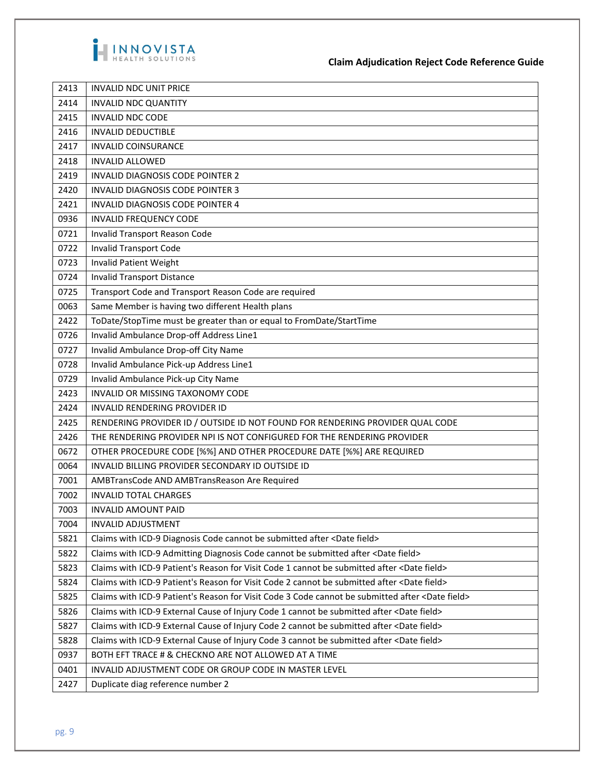

**Claim Adjudication Reject Code Reference Guide**

| 2413 | <b>INVALID NDC UNIT PRICE</b>                                                                             |
|------|-----------------------------------------------------------------------------------------------------------|
| 2414 | <b>INVALID NDC QUANTITY</b>                                                                               |
| 2415 | <b>INVALID NDC CODE</b>                                                                                   |
| 2416 | <b>INVALID DEDUCTIBLE</b>                                                                                 |
| 2417 | <b>INVALID COINSURANCE</b>                                                                                |
| 2418 | <b>INVALID ALLOWED</b>                                                                                    |
| 2419 | INVALID DIAGNOSIS CODE POINTER 2                                                                          |
| 2420 | INVALID DIAGNOSIS CODE POINTER 3                                                                          |
| 2421 | INVALID DIAGNOSIS CODE POINTER 4                                                                          |
| 0936 | <b>INVALID FREQUENCY CODE</b>                                                                             |
| 0721 | Invalid Transport Reason Code                                                                             |
| 0722 | <b>Invalid Transport Code</b>                                                                             |
| 0723 | <b>Invalid Patient Weight</b>                                                                             |
| 0724 | <b>Invalid Transport Distance</b>                                                                         |
| 0725 | Transport Code and Transport Reason Code are required                                                     |
| 0063 | Same Member is having two different Health plans                                                          |
| 2422 | ToDate/StopTime must be greater than or equal to FromDate/StartTime                                       |
| 0726 | Invalid Ambulance Drop-off Address Line1                                                                  |
| 0727 | Invalid Ambulance Drop-off City Name                                                                      |
| 0728 | Invalid Ambulance Pick-up Address Line1                                                                   |
| 0729 | Invalid Ambulance Pick-up City Name                                                                       |
| 2423 | INVALID OR MISSING TAXONOMY CODE                                                                          |
| 2424 | INVALID RENDERING PROVIDER ID                                                                             |
| 2425 | RENDERING PROVIDER ID / OUTSIDE ID NOT FOUND FOR RENDERING PROVIDER QUAL CODE                             |
| 2426 | THE RENDERING PROVIDER NPI IS NOT CONFIGURED FOR THE RENDERING PROVIDER                                   |
| 0672 | OTHER PROCEDURE CODE [%%] AND OTHER PROCEDURE DATE [%%] ARE REQUIRED                                      |
| 0064 | INVALID BILLING PROVIDER SECONDARY ID OUTSIDE ID                                                          |
| 7001 | AMBTransCode AND AMBTransReason Are Required                                                              |
| 7002 | <b>INVALID TOTAL CHARGES</b>                                                                              |
| 7003 | <b>INVALID AMOUNT PAID</b>                                                                                |
| 7004 | <b>INVALID ADJUSTMENT</b>                                                                                 |
| 5821 | Claims with ICD-9 Diagnosis Code cannot be submitted after <date field=""></date>                         |
| 5822 | Claims with ICD-9 Admitting Diagnosis Code cannot be submitted after <date field=""></date>               |
| 5823 | Claims with ICD-9 Patient's Reason for Visit Code 1 cannot be submitted after <date field=""></date>      |
| 5824 | Claims with ICD-9 Patient's Reason for Visit Code 2 cannot be submitted after <date field=""></date>      |
| 5825 | Claims with ICD-9 Patient's Reason for Visit Code 3 Code cannot be submitted after <date field=""></date> |
| 5826 | Claims with ICD-9 External Cause of Injury Code 1 cannot be submitted after <date field=""></date>        |
| 5827 | Claims with ICD-9 External Cause of Injury Code 2 cannot be submitted after <date field=""></date>        |
| 5828 | Claims with ICD-9 External Cause of Injury Code 3 cannot be submitted after <date field=""></date>        |
| 0937 | BOTH EFT TRACE # & CHECKNO ARE NOT ALLOWED AT A TIME                                                      |
| 0401 | INVALID ADJUSTMENT CODE OR GROUP CODE IN MASTER LEVEL                                                     |
| 2427 | Duplicate diag reference number 2                                                                         |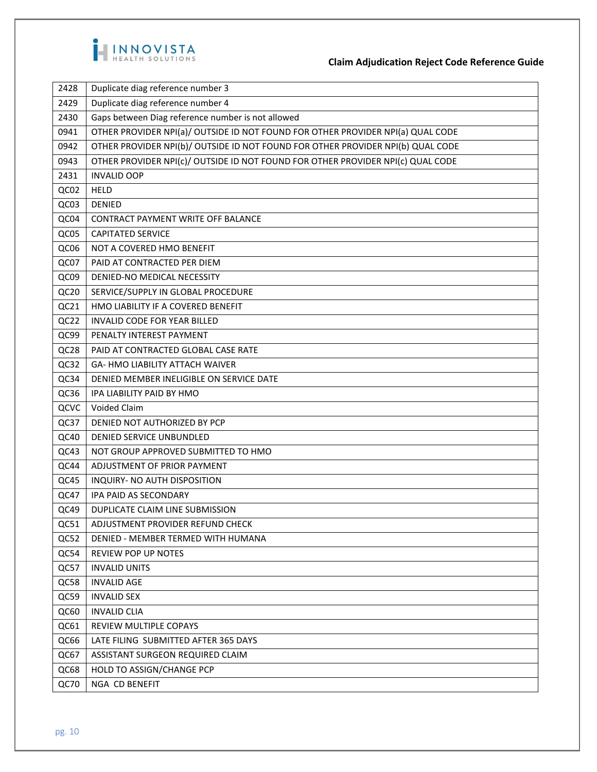

| 2428 | Duplicate diag reference number 3                                               |
|------|---------------------------------------------------------------------------------|
| 2429 | Duplicate diag reference number 4                                               |
| 2430 | Gaps between Diag reference number is not allowed                               |
| 0941 | OTHER PROVIDER NPI(a)/ OUTSIDE ID NOT FOUND FOR OTHER PROVIDER NPI(a) QUAL CODE |
| 0942 | OTHER PROVIDER NPI(b)/ OUTSIDE ID NOT FOUND FOR OTHER PROVIDER NPI(b) QUAL CODE |
| 0943 | OTHER PROVIDER NPI(c)/ OUTSIDE ID NOT FOUND FOR OTHER PROVIDER NPI(c) QUAL CODE |
| 2431 | <b>INVALID OOP</b>                                                              |
| QC02 | <b>HELD</b>                                                                     |
| QC03 | <b>DENIED</b>                                                                   |
| QC04 | CONTRACT PAYMENT WRITE OFF BALANCE                                              |
| QC05 | <b>CAPITATED SERVICE</b>                                                        |
| QC06 | NOT A COVERED HMO BENEFIT                                                       |
| QC07 | PAID AT CONTRACTED PER DIEM                                                     |
| QC09 | DENIED-NO MEDICAL NECESSITY                                                     |
| QC20 | SERVICE/SUPPLY IN GLOBAL PROCEDURE                                              |
| QC21 | HMO LIABILITY IF A COVERED BENEFIT                                              |
| QC22 | INVALID CODE FOR YEAR BILLED                                                    |
| QC99 | PENALTY INTEREST PAYMENT                                                        |
| QC28 | PAID AT CONTRACTED GLOBAL CASE RATE                                             |
| QC32 | <b>GA- HMO LIABILITY ATTACH WAIVER</b>                                          |
| QC34 | DENIED MEMBER INELIGIBLE ON SERVICE DATE                                        |
| QC36 | IPA LIABILITY PAID BY HMO                                                       |
| QCVC | Voided Claim                                                                    |
| QC37 | DENIED NOT AUTHORIZED BY PCP                                                    |
| QC40 | DENIED SERVICE UNBUNDLED                                                        |
| QC43 | NOT GROUP APPROVED SUBMITTED TO HMO                                             |
| QC44 | ADJUSTMENT OF PRIOR PAYMENT                                                     |
| QC45 | INQUIRY- NO AUTH DISPOSITION                                                    |
| QC47 | IPA PAID AS SECONDARY                                                           |
| QC49 | DUPLICATE CLAIM LINE SUBMISSION                                                 |
| QC51 | ADJUSTMENT PROVIDER REFUND CHECK                                                |
| QC52 | DENIED - MEMBER TERMED WITH HUMANA                                              |
| QC54 | <b>REVIEW POP UP NOTES</b>                                                      |
| QC57 | <b>INVALID UNITS</b>                                                            |
| QC58 | <b>INVALID AGE</b>                                                              |
| QC59 | <b>INVALID SEX</b>                                                              |
| QC60 | <b>INVALID CLIA</b>                                                             |
| QC61 | REVIEW MULTIPLE COPAYS                                                          |
| QC66 | LATE FILING SUBMITTED AFTER 365 DAYS                                            |
| QC67 | ASSISTANT SURGEON REQUIRED CLAIM                                                |
| QC68 | HOLD TO ASSIGN/CHANGE PCP                                                       |
| QC70 | NGA CD BENEFIT                                                                  |